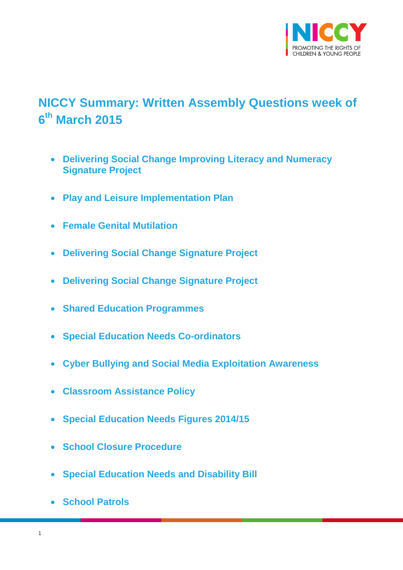

# <span id="page-0-0"></span>**NICCY Summary: Written Assembly Questions week of 6 th March 2015**

- **[Delivering Social Change Improving Literacy and Numeracy](#page-3-0)  [Signature Project](#page-3-0)**
- **[Play and Leisure Implementation Plan](#page-3-1)**
- **[Female Genital Mutilation](#page-4-0)**
- **[Delivering Social Change Signature Project](#page-5-0)**
- **[Delivering Social Change Signature Project](#page-5-1)**
- **[Shared Education Programmes](#page-6-0)**
- **[Special Education Needs Co-ordinators](#page-6-1)**
- **[Cyber Bullying and Social Media Exploitation Awareness](#page-7-0)**
- **[Classroom Assistance Policy](#page-8-0)**
- **[Special Education Needs Figures 2014/15](#page-9-0)**
- **[School Closure Procedure](#page-11-0)**
- **[Special Education Needs and Disability Bill](#page-11-1)**
- **[School Patrols](#page-12-0)**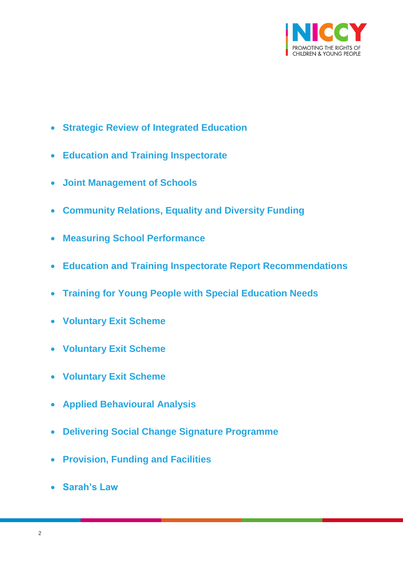

- **[Strategic Review of Integrated Education](#page-13-0)**
- **[Education and Training Inspectorate](#page-13-1)**
- **[Joint Management of Schools](#page-14-0)**
- **[Community Relations, Equality and Diversity Funding](#page-14-1)**
- **[Measuring School Performance](#page-14-2)**
- **[Education and Training Inspectorate Report Recommendations](#page-15-0)**
- **[Training for Young People with Special Education Needs](#page-16-0)**
- **[Voluntary Exit Scheme](#page-17-0)**
- **[Voluntary Exit Scheme](#page-17-1)**
- **[Voluntary Exit Scheme](#page-18-0)**
- **[Applied Behavioural Analysis](#page-19-0)**
- **[Delivering Social Change Signature Programme](#page-20-0)**
- **[Provision, Funding and Facilities](#page-21-0)**
- **[Sarah's Law](#page-22-0)**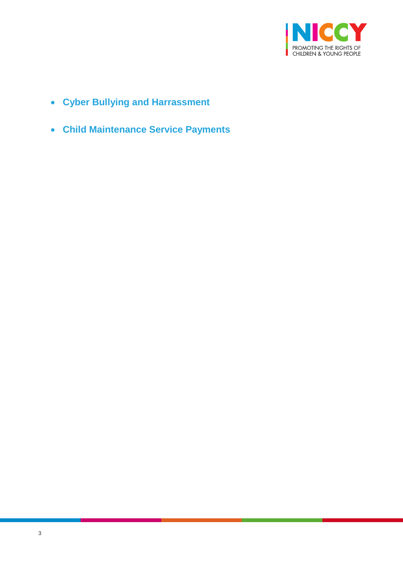

- **[Cyber Bullying and Harrassment](#page-23-0)**
- **[Child Maintenance Service Payments](#page-24-0)**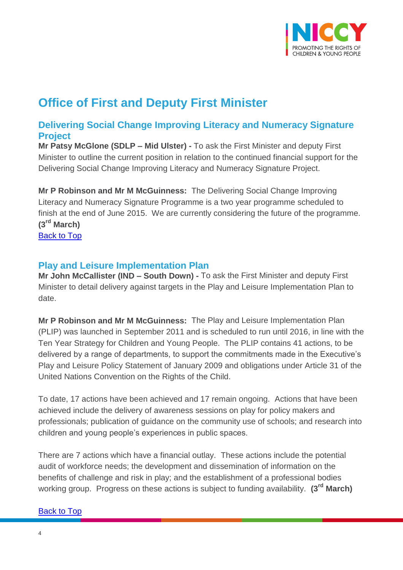

# **Office of First and Deputy First Minister**

## <span id="page-3-0"></span>**Delivering Social Change Improving Literacy and Numeracy Signature Project**

**Mr Patsy McGlone (SDLP – Mid Ulster) -** To ask the First Minister and deputy First Minister to outline the current position in relation to the continued financial support for the Delivering Social Change Improving Literacy and Numeracy Signature Project.

**Mr P Robinson and Mr M McGuinness:** The Delivering Social Change Improving Literacy and Numeracy Signature Programme is a two year programme scheduled to finish at the end of June 2015. We are currently considering the future of the programme. **(3rd March)**

[Back to Top](#page-0-0)

## <span id="page-3-1"></span>**Play and Leisure Implementation Plan**

**Mr John McCallister (IND – South Down) -** To ask the First Minister and deputy First Minister to detail delivery against targets in the Play and Leisure Implementation Plan to date.

**Mr P Robinson and Mr M McGuinness:** The Play and Leisure Implementation Plan (PLIP) was launched in September 2011 and is scheduled to run until 2016, in line with the Ten Year Strategy for Children and Young People. The PLIP contains 41 actions, to be delivered by a range of departments, to support the commitments made in the Executive's Play and Leisure Policy Statement of January 2009 and obligations under Article 31 of the United Nations Convention on the Rights of the Child.

To date, 17 actions have been achieved and 17 remain ongoing. Actions that have been achieved include the delivery of awareness sessions on play for policy makers and professionals; publication of guidance on the community use of schools; and research into children and young people's experiences in public spaces.

There are 7 actions which have a financial outlay. These actions include the potential audit of workforce needs; the development and dissemination of information on the benefits of challenge and risk in play; and the establishment of a professional bodies working group. Progress on these actions is subject to funding availability. **(3rd March)**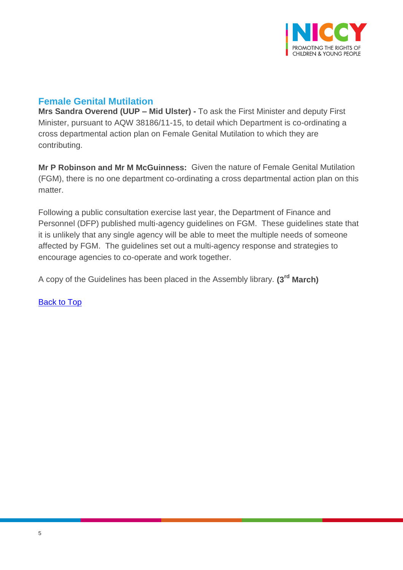

# <span id="page-4-0"></span>**Female Genital Mutilation**

**Mrs Sandra Overend (UUP – Mid Ulster) -** To ask the First Minister and deputy First Minister, pursuant to AQW 38186/11-15, to detail which Department is co-ordinating a cross departmental action plan on Female Genital Mutilation to which they are contributing.

**Mr P Robinson and Mr M McGuinness:** Given the nature of Female Genital Mutilation (FGM), there is no one department co-ordinating a cross departmental action plan on this matter.

Following a public consultation exercise last year, the Department of Finance and Personnel (DFP) published multi-agency guidelines on FGM. These guidelines state that it is unlikely that any single agency will be able to meet the multiple needs of someone affected by FGM. The guidelines set out a multi-agency response and strategies to encourage agencies to co-operate and work together.

A copy of the Guidelines has been placed in the Assembly library. **(3rd March)**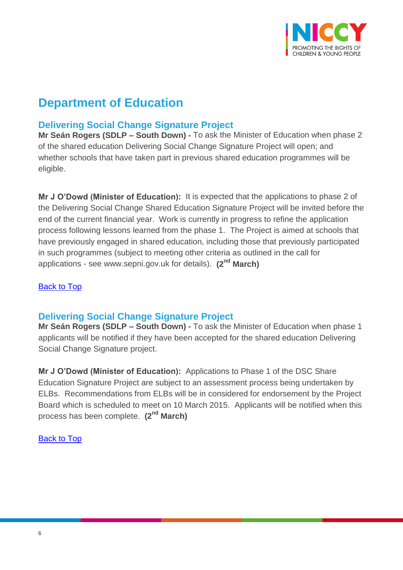

# **Department of Education**

# <span id="page-5-0"></span>**Delivering Social Change Signature Project**

**Mr Seán Rogers (SDLP – South Down) -** To ask the Minister of Education when phase 2 of the shared education Delivering Social Change Signature Project will open; and whether schools that have taken part in previous shared education programmes will be eligible.

**Mr J O'Dowd (Minister of Education):** It is expected that the applications to phase 2 of the Delivering Social Change Shared Education Signature Project will be invited before the end of the current financial year. Work is currently in progress to refine the application process following lessons learned from the phase 1. The Project is aimed at schools that have previously engaged in shared education, including those that previously participated in such programmes (subject to meeting other criteria as outlined in the call for applications - see www.sepni.gov.uk for details). **(2nd March)**

#### [Back to Top](#page-0-0)

### <span id="page-5-1"></span>**Delivering Social Change Signature Project**

**Mr Seán Rogers (SDLP – South Down) -** To ask the Minister of Education when phase 1 applicants will be notified if they have been accepted for the shared education Delivering Social Change Signature project.

**Mr J O'Dowd (Minister of Education):** Applications to Phase 1 of the DSC Share Education Signature Project are subject to an assessment process being undertaken by ELBs. Recommendations from ELBs will be in considered for endorsement by the Project Board which is scheduled to meet on 10 March 2015. Applicants will be notified when this process has been complete. **(2nd March)**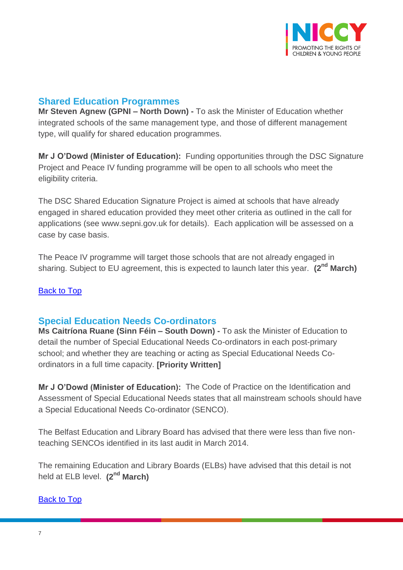

## <span id="page-6-0"></span>**Shared Education Programmes**

**Mr Steven Agnew (GPNI – North Down) -** To ask the Minister of Education whether integrated schools of the same management type, and those of different management type, will qualify for shared education programmes.

**Mr J O'Dowd (Minister of Education):** Funding opportunities through the DSC Signature Project and Peace IV funding programme will be open to all schools who meet the eligibility criteria.

The DSC Shared Education Signature Project is aimed at schools that have already engaged in shared education provided they meet other criteria as outlined in the call for applications (see www.sepni.gov.uk for details). Each application will be assessed on a case by case basis.

The Peace IV programme will target those schools that are not already engaged in sharing. Subject to EU agreement, this is expected to launch later this year. **(2nd March)**

#### **[Back to Top](#page-0-0)**

### <span id="page-6-1"></span>**Special Education Needs Co-ordinators**

**Ms Caitríona Ruane (Sinn Féin – South Down) -** To ask the Minister of Education to detail the number of Special Educational Needs Co-ordinators in each post-primary school; and whether they are teaching or acting as Special Educational Needs Coordinators in a full time capacity. **[Priority Written]**

**Mr J O'Dowd (Minister of Education):** The Code of Practice on the Identification and Assessment of Special Educational Needs states that all mainstream schools should have a Special Educational Needs Co-ordinator (SENCO).

The Belfast Education and Library Board has advised that there were less than five nonteaching SENCOs identified in its last audit in March 2014.

The remaining Education and Library Boards (ELBs) have advised that this detail is not held at ELB level. **(2nd March)**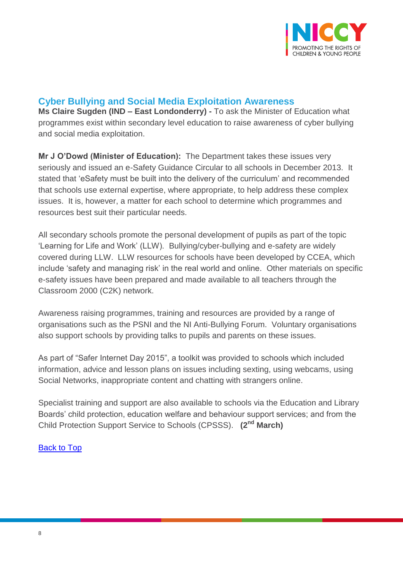

### <span id="page-7-0"></span>**Cyber Bullying and Social Media Exploitation Awareness**

**Ms Claire Sugden (IND – East Londonderry) -** To ask the Minister of Education what programmes exist within secondary level education to raise awareness of cyber bullying and social media exploitation.

**Mr J O'Dowd (Minister of Education):** The Department takes these issues very seriously and issued an e-Safety Guidance Circular to all schools in December 2013. It stated that 'eSafety must be built into the delivery of the curriculum' and recommended that schools use external expertise, where appropriate, to help address these complex issues. It is, however, a matter for each school to determine which programmes and resources best suit their particular needs.

All secondary schools promote the personal development of pupils as part of the topic 'Learning for Life and Work' (LLW). Bullying/cyber-bullying and e-safety are widely covered during LLW. LLW resources for schools have been developed by CCEA, which include 'safety and managing risk' in the real world and online. Other materials on specific e-safety issues have been prepared and made available to all teachers through the Classroom 2000 (C2K) network.

Awareness raising programmes, training and resources are provided by a range of organisations such as the PSNI and the NI Anti-Bullying Forum. Voluntary organisations also support schools by providing talks to pupils and parents on these issues.

As part of "Safer Internet Day 2015", a toolkit was provided to schools which included information, advice and lesson plans on issues including sexting, using webcams, using Social Networks, inappropriate content and chatting with strangers online.

Specialist training and support are also available to schools via the Education and Library Boards' child protection, education welfare and behaviour support services; and from the Child Protection Support Service to Schools (CPSSS). **(2nd March)**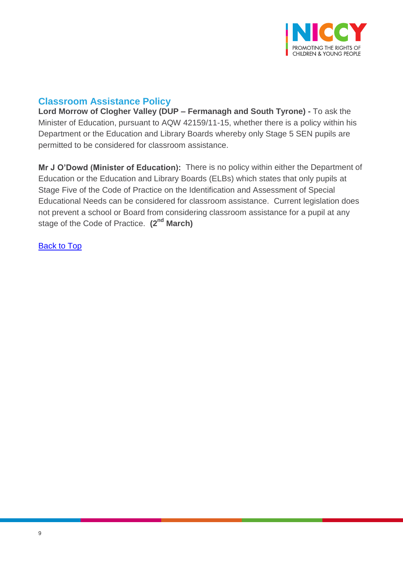

## <span id="page-8-0"></span>**Classroom Assistance Policy**

**Lord Morrow of Clogher Valley (DUP – Fermanagh and South Tyrone) -** To ask the Minister of Education, pursuant to AQW 42159/11-15, whether there is a policy within his Department or the Education and Library Boards whereby only Stage 5 SEN pupils are permitted to be considered for classroom assistance.

**Mr J O'Dowd (Minister of Education):** There is no policy within either the Department of Education or the Education and Library Boards (ELBs) which states that only pupils at Stage Five of the Code of Practice on the Identification and Assessment of Special Educational Needs can be considered for classroom assistance. Current legislation does not prevent a school or Board from considering classroom assistance for a pupil at any stage of the Code of Practice. **(2nd March)**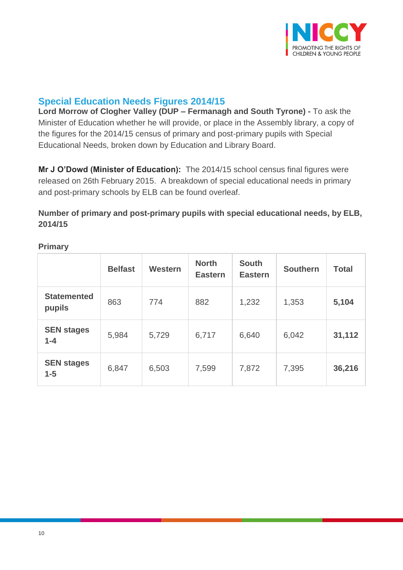

# <span id="page-9-0"></span>**Special Education Needs Figures 2014/15**

**Lord Morrow of Clogher Valley (DUP – Fermanagh and South Tyrone) -** To ask the Minister of Education whether he will provide, or place in the Assembly library, a copy of the figures for the 2014/15 census of primary and post-primary pupils with Special Educational Needs, broken down by Education and Library Board.

**Mr J O'Dowd (Minister of Education):** The 2014/15 school census final figures were released on 26th February 2015. A breakdown of special educational needs in primary and post-primary schools by ELB can be found overleaf.

### **Number of primary and post-primary pupils with special educational needs, by ELB, 2014/15**

|                              | <b>Belfast</b> | Western | <b>North</b><br><b>Eastern</b> | <b>South</b><br><b>Eastern</b> | <b>Southern</b> | <b>Total</b> |
|------------------------------|----------------|---------|--------------------------------|--------------------------------|-----------------|--------------|
| <b>Statemented</b><br>pupils | 863            | 774     | 882                            | 1,232                          | 1,353           | 5,104        |
| <b>SEN stages</b><br>$1 - 4$ | 5,984          | 5,729   | 6,717                          | 6,640                          | 6,042           | 31,112       |
| <b>SEN stages</b><br>$1 - 5$ | 6,847          | 6,503   | 7,599                          | 7,872                          | 7,395           | 36,216       |

#### **Primary**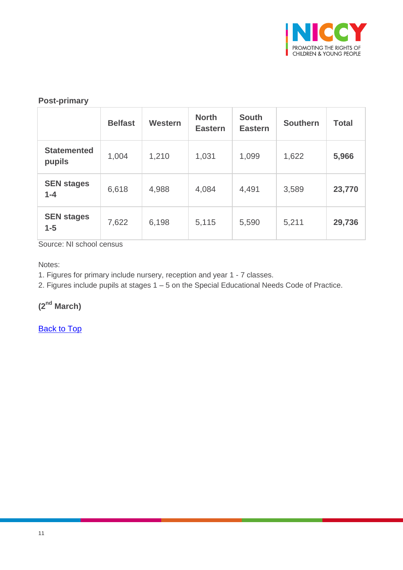

#### **Post-primary**

|                              | <b>Belfast</b> | <b>Western</b> | <b>North</b><br><b>Eastern</b> | <b>South</b><br><b>Eastern</b> | <b>Southern</b> | <b>Total</b> |
|------------------------------|----------------|----------------|--------------------------------|--------------------------------|-----------------|--------------|
| <b>Statemented</b><br>pupils | 1,004          | 1,210          | 1,031                          | 1,099                          | 1,622           | 5,966        |
| <b>SEN stages</b><br>$1 - 4$ | 6,618          | 4,988          | 4,084                          | 4,491                          | 3,589           | 23,770       |
| <b>SEN stages</b><br>$1-5$   | 7,622          | 6,198          | 5,115                          | 5,590                          | 5,211           | 29,736       |

Source: NI school census

Notes:

1. Figures for primary include nursery, reception and year 1 - 7 classes.

2. Figures include pupils at stages 1 – 5 on the Special Educational Needs Code of Practice.

**(2nd March)**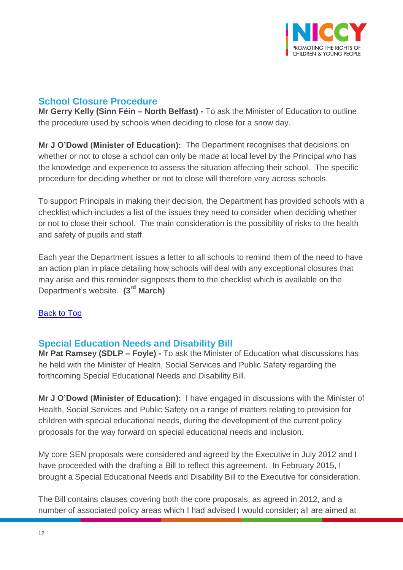

# <span id="page-11-0"></span>**School Closure Procedure**

**Mr Gerry Kelly (Sinn Féin – North Belfast) -** To ask the Minister of Education to outline the procedure used by schools when deciding to close for a snow day.

**Mr J O'Dowd (Minister of Education):** The Department recognises that decisions on whether or not to close a school can only be made at local level by the Principal who has the knowledge and experience to assess the situation affecting their school. The specific procedure for deciding whether or not to close will therefore vary across schools.

To support Principals in making their decision, the Department has provided schools with a checklist which includes a list of the issues they need to consider when deciding whether or not to close their school. The main consideration is the possibility of risks to the health and safety of pupils and staff.

Each year the Department issues a letter to all schools to remind them of the need to have an action plan in place detailing how schools will deal with any exceptional closures that may arise and this reminder signposts them to the checklist which is available on the Department's website. **(3rd March)**

#### [Back to Top](#page-0-0)

### <span id="page-11-1"></span>**Special Education Needs and Disability Bill**

**Mr Pat Ramsey (SDLP – Foyle) -** To ask the Minister of Education what discussions has he held with the Minister of Health, Social Services and Public Safety regarding the forthcoming Special Educational Needs and Disability Bill.

**Mr J O'Dowd (Minister of Education):** I have engaged in discussions with the Minister of Health, Social Services and Public Safety on a range of matters relating to provision for children with special educational needs, during the development of the current policy proposals for the way forward on special educational needs and inclusion.

My core SEN proposals were considered and agreed by the Executive in July 2012 and I have proceeded with the drafting a Bill to reflect this agreement. In February 2015, I brought a Special Educational Needs and Disability Bill to the Executive for consideration.

The Bill contains clauses covering both the core proposals, as agreed in 2012, and a number of associated policy areas which I had advised I would consider; all are aimed at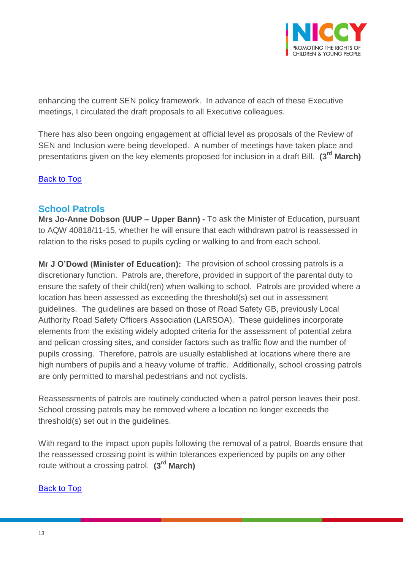

enhancing the current SEN policy framework. In advance of each of these Executive meetings, I circulated the draft proposals to all Executive colleagues.

There has also been ongoing engagement at official level as proposals of the Review of SEN and Inclusion were being developed. A number of meetings have taken place and presentations given on the key elements proposed for inclusion in a draft Bill. **(3rd March)**

#### [Back to Top](#page-0-0)

### <span id="page-12-0"></span>**School Patrols**

**Mrs Jo-Anne Dobson (UUP – Upper Bann) -** To ask the Minister of Education, pursuant to AQW 40818/11-15, whether he will ensure that each withdrawn patrol is reassessed in relation to the risks posed to pupils cycling or walking to and from each school.

**Mr J O'Dowd (Minister of Education):** The provision of school crossing patrols is a discretionary function. Patrols are, therefore, provided in support of the parental duty to ensure the safety of their child(ren) when walking to school. Patrols are provided where a location has been assessed as exceeding the threshold(s) set out in assessment guidelines. The guidelines are based on those of Road Safety GB, previously Local Authority Road Safety Officers Association (LARSOA). These guidelines incorporate elements from the existing widely adopted criteria for the assessment of potential zebra and pelican crossing sites, and consider factors such as traffic flow and the number of pupils crossing. Therefore, patrols are usually established at locations where there are high numbers of pupils and a heavy volume of traffic. Additionally, school crossing patrols are only permitted to marshal pedestrians and not cyclists.

Reassessments of patrols are routinely conducted when a patrol person leaves their post. School crossing patrols may be removed where a location no longer exceeds the threshold(s) set out in the guidelines.

With regard to the impact upon pupils following the removal of a patrol, Boards ensure that the reassessed crossing point is within tolerances experienced by pupils on any other route without a crossing patrol. **(3rd March)**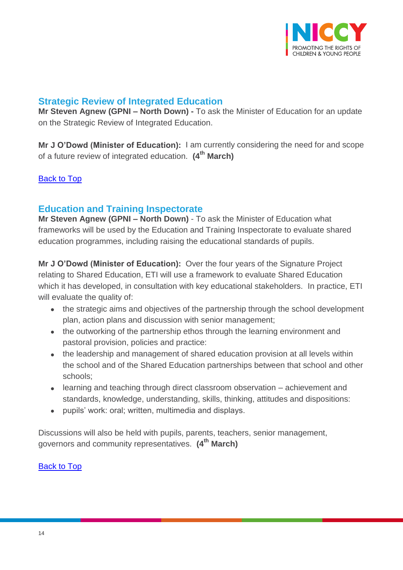

# <span id="page-13-0"></span>**Strategic Review of Integrated Education**

**Mr Steven Agnew (GPNI – North Down) -** To ask the Minister of Education for an update on the Strategic Review of Integrated Education.

**Mr J O'Dowd (Minister of Education):** I am currently considering the need for and scope of a future review of integrated education. **(4th March)**

#### [Back to Top](#page-0-0)

# <span id="page-13-1"></span>**Education and Training Inspectorate**

**Mr Steven Agnew (GPNI – North Down)** - To ask the Minister of Education what frameworks will be used by the Education and Training Inspectorate to evaluate shared education programmes, including raising the educational standards of pupils.

**Mr J O'Dowd (Minister of Education):** Over the four years of the Signature Project relating to Shared Education, ETI will use a framework to evaluate Shared Education which it has developed, in consultation with key educational stakeholders. In practice, ETI will evaluate the quality of:

- the strategic aims and objectives of the partnership through the school development plan, action plans and discussion with senior management;
- the outworking of the partnership ethos through the learning environment and pastoral provision, policies and practice:
- the leadership and management of shared education provision at all levels within the school and of the Shared Education partnerships between that school and other schools;
- learning and teaching through direct classroom observation achievement and standards, knowledge, understanding, skills, thinking, attitudes and dispositions:
- pupils' work: oral; written, multimedia and displays.

Discussions will also be held with pupils, parents, teachers, senior management, governors and community representatives. **(4th March)**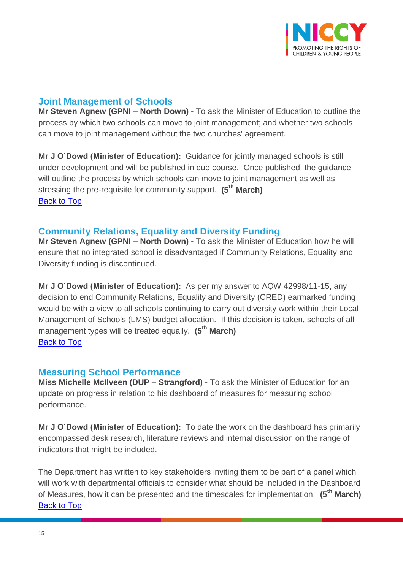

## <span id="page-14-0"></span>**Joint Management of Schools**

**Mr Steven Agnew (GPNI – North Down) -** To ask the Minister of Education to outline the process by which two schools can move to joint management; and whether two schools can move to joint management without the two churches' agreement.

**Mr J O'Dowd (Minister of Education):** Guidance for jointly managed schools is still under development and will be published in due course. Once published, the guidance will outline the process by which schools can move to joint management as well as stressing the pre-requisite for community support. **(5th March)** [Back to Top](#page-0-0)

## <span id="page-14-1"></span>**Community Relations, Equality and Diversity Funding**

**Mr Steven Agnew (GPNI – North Down) -** To ask the Minister of Education how he will ensure that no integrated school is disadvantaged if Community Relations, Equality and Diversity funding is discontinued.

**Mr J O'Dowd (Minister of Education):** As per my answer to AQW 42998/11-15, any decision to end Community Relations, Equality and Diversity (CRED) earmarked funding would be with a view to all schools continuing to carry out diversity work within their Local Management of Schools (LMS) budget allocation. If this decision is taken, schools of all management types will be treated equally. **(5th March)** [Back to Top](#page-0-0)

### <span id="page-14-2"></span>**Measuring School Performance**

**Miss Michelle McIlveen (DUP – Strangford) -** To ask the Minister of Education for an update on progress in relation to his dashboard of measures for measuring school performance.

**Mr J O'Dowd (Minister of Education):** To date the work on the dashboard has primarily encompassed desk research, literature reviews and internal discussion on the range of indicators that might be included.

The Department has written to key stakeholders inviting them to be part of a panel which will work with departmental officials to consider what should be included in the Dashboard of Measures, how it can be presented and the timescales for implementation. **(5th March) [Back to Top](#page-0-0)**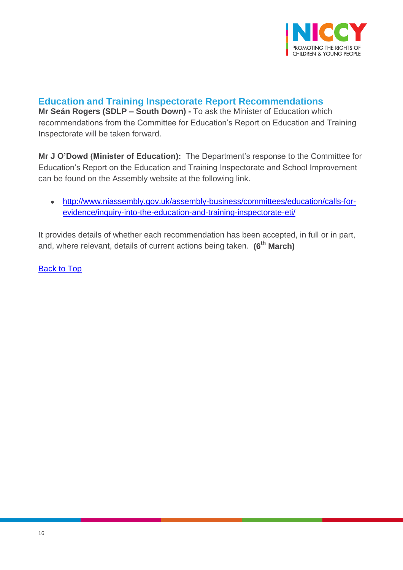

## <span id="page-15-0"></span>**Education and Training Inspectorate Report Recommendations**

**Mr Seán Rogers (SDLP – South Down) -** To ask the Minister of Education which recommendations from the Committee for Education's Report on Education and Training Inspectorate will be taken forward.

**Mr J O'Dowd (Minister of Education):** The Department's response to the Committee for Education's Report on the Education and Training Inspectorate and School Improvement can be found on the Assembly website at the following link.

 [http://www.niassembly.gov.uk/assembly-business/committees/education/calls-for](http://www.niassembly.gov.uk/assembly-business/committees/education/calls-for-evidence/inquiry-into-the-education-and-training-inspectorate-eti/)[evidence/inquiry-into-the-education-and-training-inspectorate-eti/](http://www.niassembly.gov.uk/assembly-business/committees/education/calls-for-evidence/inquiry-into-the-education-and-training-inspectorate-eti/)

It provides details of whether each recommendation has been accepted, in full or in part, and, where relevant, details of current actions being taken. **(6th March)**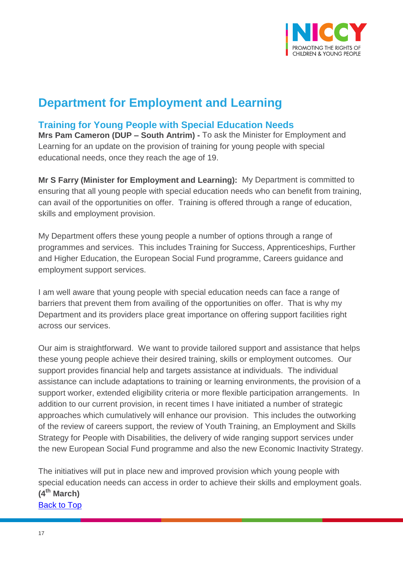

# **Department for Employment and Learning**

# <span id="page-16-0"></span>**Training for Young People with Special Education Needs**

**Mrs Pam Cameron (DUP – South Antrim) -** To ask the Minister for Employment and Learning for an update on the provision of training for young people with special educational needs, once they reach the age of 19.

**Mr S Farry (Minister for Employment and Learning):** My Department is committed to ensuring that all young people with special education needs who can benefit from training, can avail of the opportunities on offer. Training is offered through a range of education, skills and employment provision.

My Department offers these young people a number of options through a range of programmes and services. This includes Training for Success, Apprenticeships, Further and Higher Education, the European Social Fund programme, Careers guidance and employment support services.

I am well aware that young people with special education needs can face a range of barriers that prevent them from availing of the opportunities on offer. That is why my Department and its providers place great importance on offering support facilities right across our services.

Our aim is straightforward. We want to provide tailored support and assistance that helps these young people achieve their desired training, skills or employment outcomes. Our support provides financial help and targets assistance at individuals. The individual assistance can include adaptations to training or learning environments, the provision of a support worker, extended eligibility criteria or more flexible participation arrangements. In addition to our current provision, in recent times I have initiated a number of strategic approaches which cumulatively will enhance our provision. This includes the outworking of the review of careers support, the review of Youth Training, an Employment and Skills Strategy for People with Disabilities, the delivery of wide ranging support services under the new European Social Fund programme and also the new Economic Inactivity Strategy.

The initiatives will put in place new and improved provision which young people with special education needs can access in order to achieve their skills and employment goals. **(4th March)** [Back to Top](#page-0-0)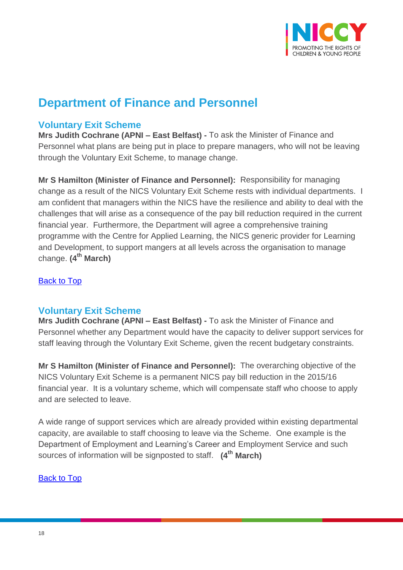

# **Department of Finance and Personnel**

### <span id="page-17-0"></span>**Voluntary Exit Scheme**

**Mrs Judith Cochrane (APNI – East Belfast) -** To ask the Minister of Finance and Personnel what plans are being put in place to prepare managers, who will not be leaving through the Voluntary Exit Scheme, to manage change.

**Mr S Hamilton (Minister of Finance and Personnel):** Responsibility for managing change as a result of the NICS Voluntary Exit Scheme rests with individual departments. I am confident that managers within the NICS have the resilience and ability to deal with the challenges that will arise as a consequence of the pay bill reduction required in the current financial year. Furthermore, the Department will agree a comprehensive training programme with the Centre for Applied Learning, the NICS generic provider for Learning and Development, to support mangers at all levels across the organisation to manage change. **(4th March)**

[Back to Top](#page-0-0)

### <span id="page-17-1"></span>**Voluntary Exit Scheme**

**Mrs Judith Cochrane (APNI – East Belfast) -** To ask the Minister of Finance and Personnel whether any Department would have the capacity to deliver support services for staff leaving through the Voluntary Exit Scheme, given the recent budgetary constraints.

**Mr S Hamilton (Minister of Finance and Personnel):** The overarching objective of the NICS Voluntary Exit Scheme is a permanent NICS pay bill reduction in the 2015/16 financial year. It is a voluntary scheme, which will compensate staff who choose to apply and are selected to leave.

A wide range of support services which are already provided within existing departmental capacity, are available to staff choosing to leave via the Scheme. One example is the Department of Employment and Learning's Career and Employment Service and such sources of information will be signposted to staff. **(4th March)**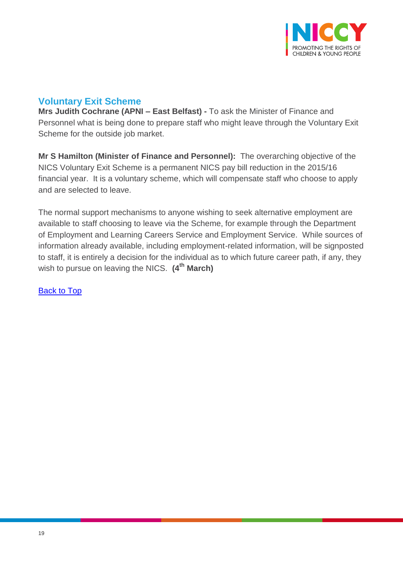

# <span id="page-18-0"></span>**Voluntary Exit Scheme**

**Mrs Judith Cochrane (APNI – East Belfast) -** To ask the Minister of Finance and Personnel what is being done to prepare staff who might leave through the Voluntary Exit Scheme for the outside job market.

**Mr S Hamilton (Minister of Finance and Personnel):** The overarching objective of the NICS Voluntary Exit Scheme is a permanent NICS pay bill reduction in the 2015/16 financial year. It is a voluntary scheme, which will compensate staff who choose to apply and are selected to leave.

The normal support mechanisms to anyone wishing to seek alternative employment are available to staff choosing to leave via the Scheme, for example through the Department of Employment and Learning Careers Service and Employment Service. While sources of information already available, including employment-related information, will be signposted to staff, it is entirely a decision for the individual as to which future career path, if any, they wish to pursue on leaving the NICS. **(4th March)**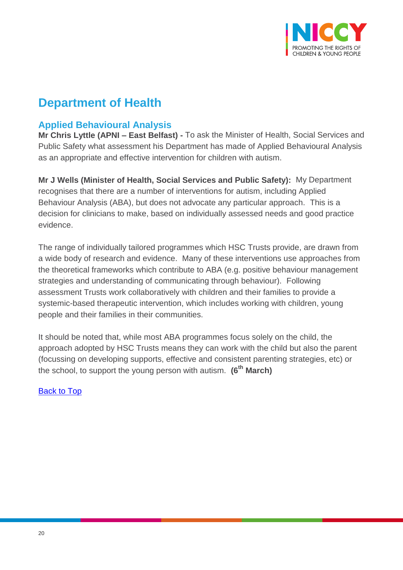

# **Department of Health**

# <span id="page-19-0"></span>**Applied Behavioural Analysis**

**Mr Chris Lyttle (APNI – East Belfast) -** To ask the Minister of Health, Social Services and Public Safety what assessment his Department has made of Applied Behavioural Analysis as an appropriate and effective intervention for children with autism.

**Mr J Wells (Minister of Health, Social Services and Public Safety):** My Department recognises that there are a number of interventions for autism, including Applied Behaviour Analysis (ABA), but does not advocate any particular approach. This is a decision for clinicians to make, based on individually assessed needs and good practice evidence.

The range of individually tailored programmes which HSC Trusts provide, are drawn from a wide body of research and evidence. Many of these interventions use approaches from the theoretical frameworks which contribute to ABA (e.g. positive behaviour management strategies and understanding of communicating through behaviour). Following assessment Trusts work collaboratively with children and their families to provide a systemic-based therapeutic intervention, which includes working with children, young people and their families in their communities.

It should be noted that, while most ABA programmes focus solely on the child, the approach adopted by HSC Trusts means they can work with the child but also the parent (focussing on developing supports, effective and consistent parenting strategies, etc) or the school, to support the young person with autism. **(6th March)**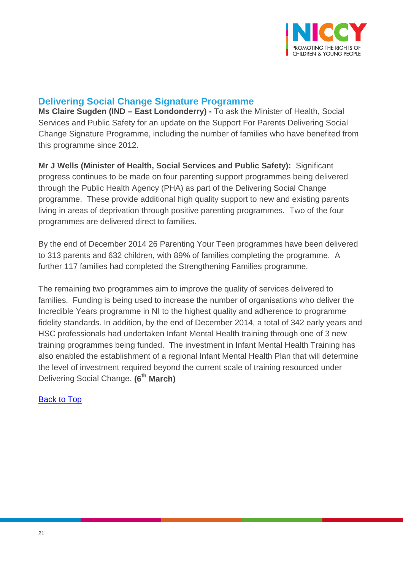

# <span id="page-20-0"></span>**Delivering Social Change Signature Programme**

**Ms Claire Sugden (IND – East Londonderry) -** To ask the Minister of Health, Social Services and Public Safety for an update on the Support For Parents Delivering Social Change Signature Programme, including the number of families who have benefited from this programme since 2012.

**Mr J Wells (Minister of Health, Social Services and Public Safety):** Significant progress continues to be made on four parenting support programmes being delivered through the Public Health Agency (PHA) as part of the Delivering Social Change programme. These provide additional high quality support to new and existing parents living in areas of deprivation through positive parenting programmes. Two of the four programmes are delivered direct to families.

By the end of December 2014 26 Parenting Your Teen programmes have been delivered to 313 parents and 632 children, with 89% of families completing the programme. A further 117 families had completed the Strengthening Families programme.

The remaining two programmes aim to improve the quality of services delivered to families. Funding is being used to increase the number of organisations who deliver the Incredible Years programme in NI to the highest quality and adherence to programme fidelity standards. In addition, by the end of December 2014, a total of 342 early years and HSC professionals had undertaken Infant Mental Health training through one of 3 new training programmes being funded. The investment in Infant Mental Health Training has also enabled the establishment of a regional Infant Mental Health Plan that will determine the level of investment required beyond the current scale of training resourced under Delivering Social Change. **(6th March)**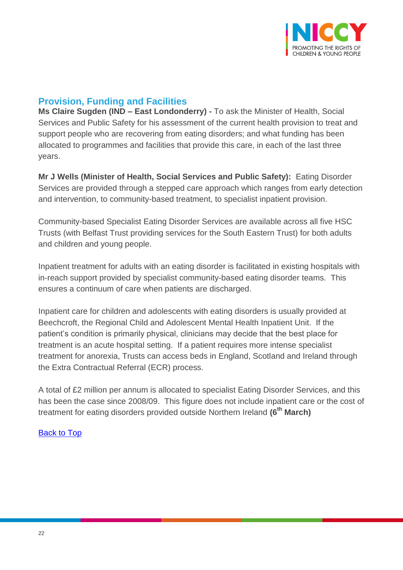

# <span id="page-21-0"></span>**Provision, Funding and Facilities**

**Ms Claire Sugden (IND – East Londonderry) -** To ask the Minister of Health, Social Services and Public Safety for his assessment of the current health provision to treat and support people who are recovering from eating disorders; and what funding has been allocated to programmes and facilities that provide this care, in each of the last three years.

**Mr J Wells (Minister of Health, Social Services and Public Safety):** Eating Disorder Services are provided through a stepped care approach which ranges from early detection and intervention, to community-based treatment, to specialist inpatient provision.

Community-based Specialist Eating Disorder Services are available across all five HSC Trusts (with Belfast Trust providing services for the South Eastern Trust) for both adults and children and young people.

Inpatient treatment for adults with an eating disorder is facilitated in existing hospitals with in-reach support provided by specialist community-based eating disorder teams. This ensures a continuum of care when patients are discharged.

Inpatient care for children and adolescents with eating disorders is usually provided at Beechcroft, the Regional Child and Adolescent Mental Health Inpatient Unit. If the patient's condition is primarily physical, clinicians may decide that the best place for treatment is an acute hospital setting. If a patient requires more intense specialist treatment for anorexia, Trusts can access beds in England, Scotland and Ireland through the Extra Contractual Referral (ECR) process.

A total of £2 million per annum is allocated to specialist Eating Disorder Services, and this has been the case since 2008/09. This figure does not include inpatient care or the cost of treatment for eating disorders provided outside Northern Ireland **(6th March)**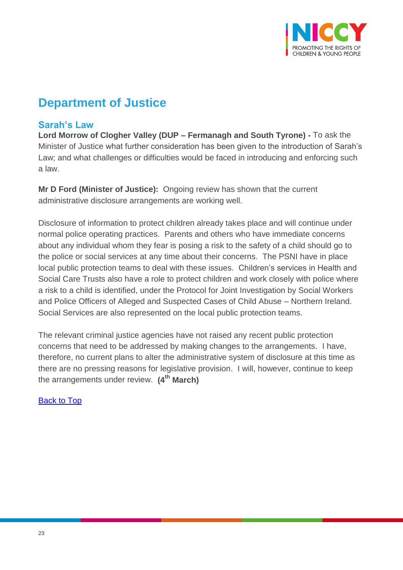

# **Department of Justice**

## <span id="page-22-0"></span>**Sarah's Law**

**Lord Morrow of Clogher Valley (DUP – Fermanagh and South Tyrone) -** To ask the Minister of Justice what further consideration has been given to the introduction of Sarah's Law; and what challenges or difficulties would be faced in introducing and enforcing such a law.

**Mr D Ford (Minister of Justice):** Ongoing review has shown that the current administrative disclosure arrangements are working well.

Disclosure of information to protect children already takes place and will continue under normal police operating practices. Parents and others who have immediate concerns about any individual whom they fear is posing a risk to the safety of a child should go to the police or social services at any time about their concerns. The PSNI have in place local public protection teams to deal with these issues. Children's services in Health and Social Care Trusts also have a role to protect children and work closely with police where a risk to a child is identified, under the Protocol for Joint Investigation by Social Workers and Police Officers of Alleged and Suspected Cases of Child Abuse – Northern Ireland. Social Services are also represented on the local public protection teams.

The relevant criminal justice agencies have not raised any recent public protection concerns that need to be addressed by making changes to the arrangements. I have, therefore, no current plans to alter the administrative system of disclosure at this time as there are no pressing reasons for legislative provision. I will, however, continue to keep the arrangements under review. **(4th March)**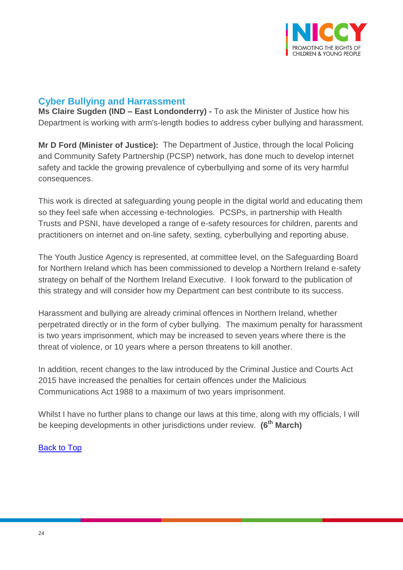

# <span id="page-23-0"></span>**Cyber Bullying and Harrassment**

**Ms Claire Sugden (IND – East Londonderry) -** To ask the Minister of Justice how his Department is working with arm's-length bodies to address cyber bullying and harassment.

**Mr D Ford (Minister of Justice):** The Department of Justice, through the local Policing and Community Safety Partnership (PCSP) network, has done much to develop internet safety and tackle the growing prevalence of cyberbullying and some of its very harmful consequences.

This work is directed at safeguarding young people in the digital world and educating them so they feel safe when accessing e-technologies. PCSPs, in partnership with Health Trusts and PSNI, have developed a range of e-safety resources for children, parents and practitioners on internet and on-line safety, sexting, cyberbullying and reporting abuse.

The Youth Justice Agency is represented, at committee level, on the Safeguarding Board for Northern Ireland which has been commissioned to develop a Northern Ireland e-safety strategy on behalf of the Northern Ireland Executive. I look forward to the publication of this strategy and will consider how my Department can best contribute to its success.

Harassment and bullying are already criminal offences in Northern Ireland, whether perpetrated directly or in the form of cyber bullying. The maximum penalty for harassment is two years imprisonment, which may be increased to seven years where there is the threat of violence, or 10 years where a person threatens to kill another.

In addition, recent changes to the law introduced by the Criminal Justice and Courts Act 2015 have increased the penalties for certain offences under the Malicious Communications Act 1988 to a maximum of two years imprisonment.

Whilst I have no further plans to change our laws at this time, along with my officials, I will be keeping developments in other jurisdictions under review. **(6th March)**